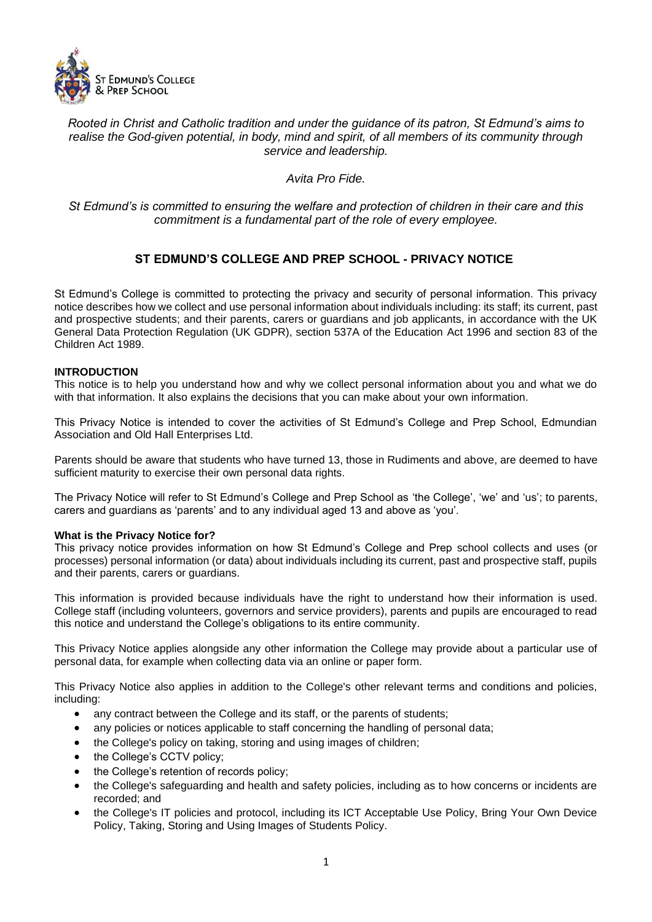

## *Rooted in Christ and Catholic tradition and under the guidance of its patron, St Edmund's aims to realise the God-given potential, in body, mind and spirit, of all members of its community through service and leadership.*

*Avita Pro Fide.*

## *St Edmund's is committed to ensuring the welfare and protection of children in their care and this commitment is a fundamental part of the role of every employee.*

# **ST EDMUND'S COLLEGE AND PREP SCHOOL - PRIVACY NOTICE**

St Edmund's College is committed to protecting the privacy and security of personal information. This privacy notice describes how we collect and use personal information about individuals including: its staff; its current, past and prospective students; and their parents, carers or guardians and job applicants, in accordance with the UK General Data Protection Regulation (UK GDPR), section 537A of the Education Act 1996 and section 83 of the Children Act 1989.

## **INTRODUCTION**

This notice is to help you understand how and why we collect personal information about you and what we do with that information. It also explains the decisions that you can make about your own information.

This Privacy Notice is intended to cover the activities of St Edmund's College and Prep School, Edmundian Association and Old Hall Enterprises Ltd.

Parents should be aware that students who have turned 13, those in Rudiments and above, are deemed to have sufficient maturity to exercise their own personal data rights.

The Privacy Notice will refer to St Edmund's College and Prep School as 'the College', 'we' and 'us'; to parents, carers and guardians as 'parents' and to any individual aged 13 and above as 'you'.

### **What is the Privacy Notice for?**

This privacy notice provides information on how St Edmund's College and Prep school collects and uses (or processes) personal information (or data) about individuals including its current, past and prospective staff, pupils and their parents, carers or guardians.

This information is provided because individuals have the right to understand how their information is used. College staff (including volunteers, governors and service providers), parents and pupils are encouraged to read this notice and understand the College's obligations to its entire community.

This Privacy Notice applies alongside any other information the College may provide about a particular use of personal data, for example when collecting data via an online or paper form.

This Privacy Notice also applies in addition to the College's other relevant terms and conditions and policies, including:

- any contract between the College and its staff, or the parents of students;
- any policies or notices applicable to staff concerning the handling of personal data;
- the College's policy on taking, storing and using images of children;
- the College's CCTV policy;
- the College's retention of records policy;
- the College's safeguarding and health and safety policies, including as to how concerns or incidents are recorded; and
- the College's IT policies and protocol, including its ICT Acceptable Use Policy, Bring Your Own Device Policy, Taking, Storing and Using Images of Students Policy.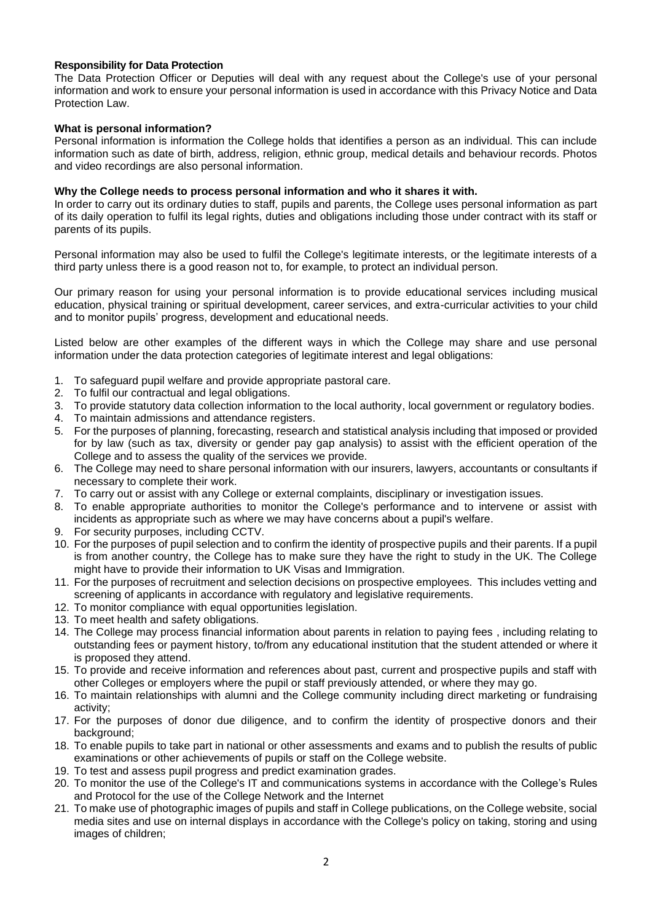### **Responsibility for Data Protection**

The Data Protection Officer or Deputies will deal with any request about the College's use of your personal information and work to ensure your personal information is used in accordance with this Privacy Notice and Data Protection Law.

### **What is personal information?**

Personal information is information the College holds that identifies a person as an individual. This can include information such as date of birth, address, religion, ethnic group, medical details and behaviour records. Photos and video recordings are also personal information.

### **Why the College needs to process personal information and who it shares it with.**

In order to carry out its ordinary duties to staff, pupils and parents, the College uses personal information as part of its daily operation to fulfil its legal rights, duties and obligations including those under contract with its staff or parents of its pupils.

Personal information may also be used to fulfil the College's legitimate interests, or the legitimate interests of a third party unless there is a good reason not to, for example, to protect an individual person.

Our primary reason for using your personal information is to provide educational services including musical education, physical training or spiritual development, career services, and extra-curricular activities to your child and to monitor pupils' progress, development and educational needs.

Listed below are other examples of the different ways in which the College may share and use personal information under the data protection categories of legitimate interest and legal obligations:

- 1. To safeguard pupil welfare and provide appropriate pastoral care.
- 2. To fulfil our contractual and legal obligations.
- 3. To provide statutory data collection information to the local authority, local government or regulatory bodies.
- 4. To maintain admissions and attendance registers.
- 5. For the purposes of planning, forecasting, research and statistical analysis including that imposed or provided for by law (such as tax, diversity or gender pay gap analysis) to assist with the efficient operation of the College and to assess the quality of the services we provide.
- 6. The College may need to share personal information with our insurers, lawyers, accountants or consultants if necessary to complete their work.
- 7. To carry out or assist with any College or external complaints, disciplinary or investigation issues.
- 8. To enable appropriate authorities to monitor the College's performance and to intervene or assist with incidents as appropriate such as where we may have concerns about a pupil's welfare.
- 9. For security purposes, including CCTV.
- 10. For the purposes of pupil selection and to confirm the identity of prospective pupils and their parents. If a pupil is from another country, the College has to make sure they have the right to study in the UK. The College might have to provide their information to UK Visas and Immigration.
- 11. For the purposes of recruitment and selection decisions on prospective employees. This includes vetting and screening of applicants in accordance with regulatory and legislative requirements.
- 12. To monitor compliance with equal opportunities legislation.
- 13. To meet health and safety obligations.
- 14. The College may process financial information about parents in relation to paying fees , including relating to outstanding fees or payment history, to/from any educational institution that the student attended or where it is proposed they attend.
- 15. To provide and receive information and references about past, current and prospective pupils and staff with other Colleges or employers where the pupil or staff previously attended, or where they may go.
- 16. To maintain relationships with alumni and the College community including direct marketing or fundraising activity;
- 17. For the purposes of donor due diligence, and to confirm the identity of prospective donors and their background;
- 18. To enable pupils to take part in national or other assessments and exams and to publish the results of public examinations or other achievements of pupils or staff on the College website.
- 19. To test and assess pupil progress and predict examination grades.
- 20. To monitor the use of the College's IT and communications systems in accordance with the College's Rules and Protocol for the use of the College Network and the Internet
- 21. To make use of photographic images of pupils and staff in College publications, on the College website, social media sites and use on internal displays in accordance with the College's policy on taking, storing and using images of children;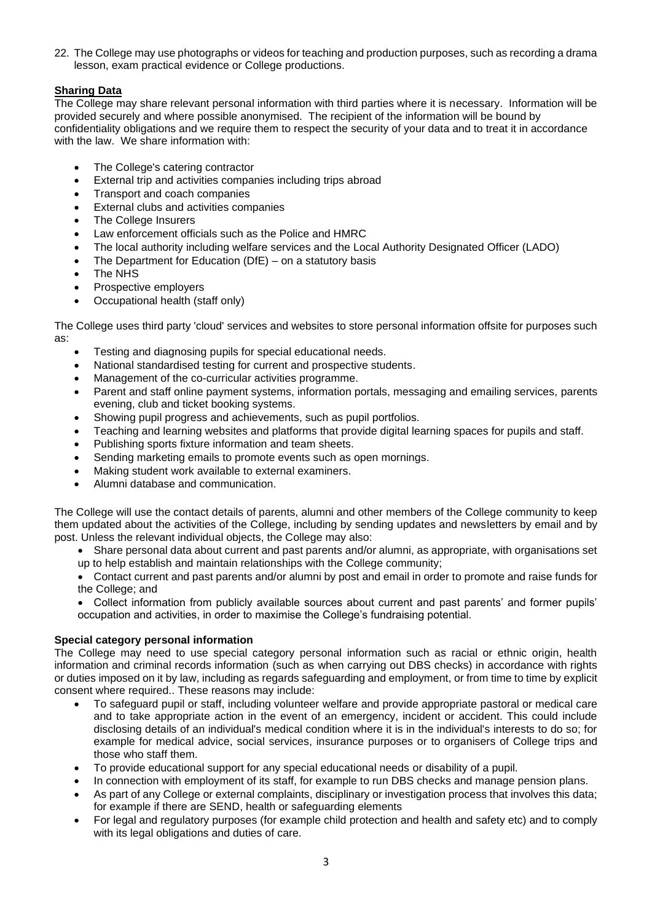22. The College may use photographs or videos for teaching and production purposes, such as recording a drama lesson, exam practical evidence or College productions.

## **Sharing Data**

The College may share relevant personal information with third parties where it is necessary. Information will be provided securely and where possible anonymised. The recipient of the information will be bound by confidentiality obligations and we require them to respect the security of your data and to treat it in accordance with the law. We share information with:

- The College's catering contractor
- External trip and activities companies including trips abroad
- Transport and coach companies
- External clubs and activities companies
- The College Insurers
- Law enforcement officials such as the Police and HMRC
- The local authority including welfare services and the Local Authority Designated Officer (LADO)
- The Department for Education (DfE) on a statutory basis
- The NHS
- Prospective employers
- Occupational health (staff only)

The College uses third party 'cloud' services and websites to store personal information offsite for purposes such as:

- Testing and diagnosing pupils for special educational needs.
- National standardised testing for current and prospective students.
- Management of the co-curricular activities programme.
- Parent and staff online payment systems, information portals, messaging and emailing services, parents evening, club and ticket booking systems.
- Showing pupil progress and achievements, such as pupil portfolios.
- Teaching and learning websites and platforms that provide digital learning spaces for pupils and staff.
- Publishing sports fixture information and team sheets.
- Sending marketing emails to promote events such as open mornings.
- Making student work available to external examiners.
- Alumni database and communication.

The College will use the contact details of parents, alumni and other members of the College community to keep them updated about the activities of the College, including by sending updates and newsletters by email and by post. Unless the relevant individual objects, the College may also:

• Share personal data about current and past parents and/or alumni, as appropriate, with organisations set up to help establish and maintain relationships with the College community;

• Contact current and past parents and/or alumni by post and email in order to promote and raise funds for the College; and

• Collect information from publicly available sources about current and past parents' and former pupils' occupation and activities, in order to maximise the College's fundraising potential.

## **Special category personal information**

The College may need to use special category personal information such as racial or ethnic origin, health information and criminal records information (such as when carrying out DBS checks) in accordance with rights or duties imposed on it by law, including as regards safeguarding and employment, or from time to time by explicit consent where required.. These reasons may include:

- To safeguard pupil or staff, including volunteer welfare and provide appropriate pastoral or medical care and to take appropriate action in the event of an emergency, incident or accident. This could include disclosing details of an individual's medical condition where it is in the individual's interests to do so; for example for medical advice, social services, insurance purposes or to organisers of College trips and those who staff them.
- To provide educational support for any special educational needs or disability of a pupil.
	- In connection with employment of its staff, for example to run DBS checks and manage pension plans.
- As part of any College or external complaints, disciplinary or investigation process that involves this data; for example if there are SEND, health or safeguarding elements
- For legal and regulatory purposes (for example child protection and health and safety etc) and to comply with its legal obligations and duties of care.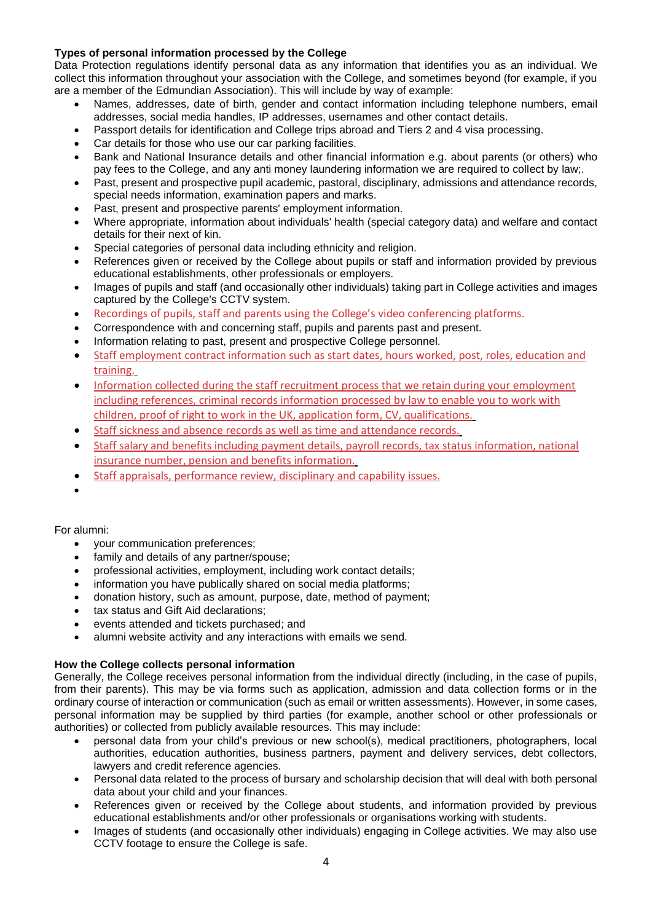## **Types of personal information processed by the College**

Data Protection regulations identify personal data as any information that identifies you as an individual. We collect this information throughout your association with the College, and sometimes beyond (for example, if you are a member of the Edmundian Association). This will include by way of example:

- Names, addresses, date of birth, gender and contact information including telephone numbers, email addresses, social media handles, IP addresses, usernames and other contact details.
- Passport details for identification and College trips abroad and Tiers 2 and 4 visa processing.
- Car details for those who use our car parking facilities.
- Bank and National Insurance details and other financial information e.g. about parents (or others) who pay fees to the College, and any anti money laundering information we are required to collect by law;.
- Past, present and prospective pupil academic, pastoral, disciplinary, admissions and attendance records, special needs information, examination papers and marks.
- Past, present and prospective parents' employment information.
- Where appropriate, information about individuals' health (special category data) and welfare and contact details for their next of kin.
- Special categories of personal data including ethnicity and religion.
- References given or received by the College about pupils or staff and information provided by previous educational establishments, other professionals or employers.
- Images of pupils and staff (and occasionally other individuals) taking part in College activities and images captured by the College's CCTV system.
- Recordings of pupils, staff and parents using the College's video conferencing platforms.
- Correspondence with and concerning staff, pupils and parents past and present.
- Information relating to past, present and prospective College personnel.
- Staff employment contract information such as start dates, hours worked, post, roles, education and training.
- Information collected during the staff recruitment process that we retain during your employment including references, criminal records information processed by law to enable you to work with children, proof of right to work in the UK, application form, CV, qualifications.
- Staff sickness and absence records as well as time and attendance records.
- Staff salary and benefits including payment details, payroll records, tax status information, national insurance number, pension and benefits information.
- Staff appraisals, performance review, disciplinary and capability issues.
- •

## For alumni:

- your communication preferences;
- family and details of any partner/spouse;
- professional activities, employment, including work contact details;
- information you have publically shared on social media platforms:
- donation history, such as amount, purpose, date, method of payment;
- tax status and Gift Aid declarations;
- events attended and tickets purchased; and
- alumni website activity and any interactions with emails we send.

## **How the College collects personal information**

Generally, the College receives personal information from the individual directly (including, in the case of pupils, from their parents). This may be via forms such as application, admission and data collection forms or in the ordinary course of interaction or communication (such as email or written assessments). However, in some cases, personal information may be supplied by third parties (for example, another school or other professionals or authorities) or collected from publicly available resources. This may include:

- personal data from your child's previous or new school(s), medical practitioners, photographers, local authorities, education authorities, business partners, payment and delivery services, debt collectors, lawyers and credit reference agencies.
- Personal data related to the process of bursary and scholarship decision that will deal with both personal data about your child and your finances.
- References given or received by the College about students, and information provided by previous educational establishments and/or other professionals or organisations working with students.
- Images of students (and occasionally other individuals) engaging in College activities. We may also use CCTV footage to ensure the College is safe.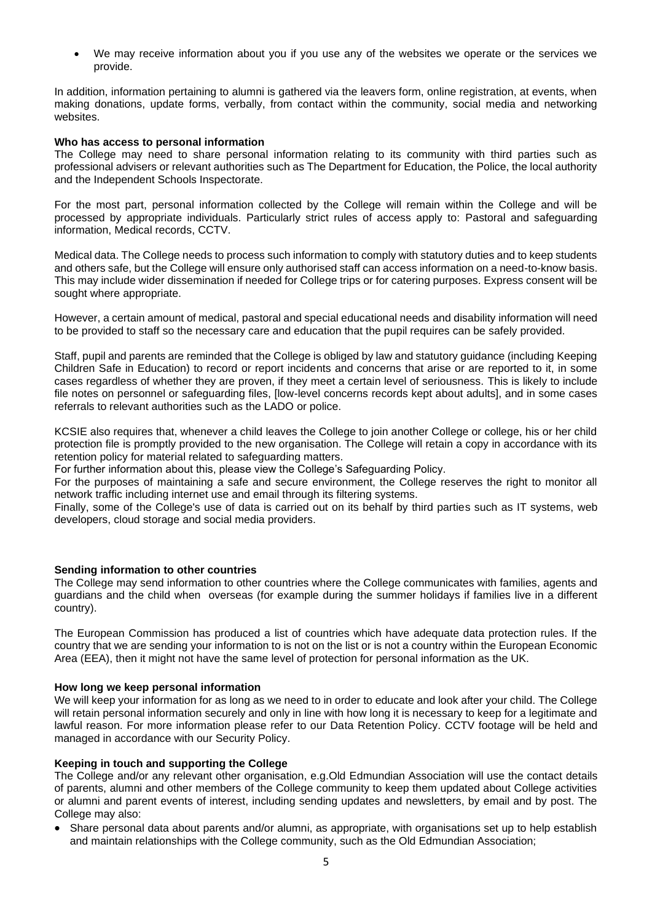• We may receive information about you if you use any of the websites we operate or the services we provide.

In addition, information pertaining to alumni is gathered via the leavers form, online registration, at events, when making donations, update forms, verbally, from contact within the community, social media and networking websites.

### **Who has access to personal information**

The College may need to share personal information relating to its community with third parties such as professional advisers or relevant authorities such as The Department for Education, the Police, the local authority and the Independent Schools Inspectorate.

For the most part, personal information collected by the College will remain within the College and will be processed by appropriate individuals. Particularly strict rules of access apply to: Pastoral and safeguarding information, Medical records, CCTV.

Medical data. The College needs to process such information to comply with statutory duties and to keep students and others safe, but the College will ensure only authorised staff can access information on a need-to-know basis. This may include wider dissemination if needed for College trips or for catering purposes. Express consent will be sought where appropriate.

However, a certain amount of medical, pastoral and special educational needs and disability information will need to be provided to staff so the necessary care and education that the pupil requires can be safely provided.

Staff, pupil and parents are reminded that the College is obliged by law and statutory guidance (including Keeping Children Safe in Education) to record or report incidents and concerns that arise or are reported to it, in some cases regardless of whether they are proven, if they meet a certain level of seriousness. This is likely to include file notes on personnel or safeguarding files, [low-level concerns records kept about adults], and in some cases referrals to relevant authorities such as the LADO or police.

KCSIE also requires that, whenever a child leaves the College to join another College or college, his or her child protection file is promptly provided to the new organisation. The College will retain a copy in accordance with its retention policy for material related to safeguarding matters.

For further information about this, please view the College's Safeguarding Policy.

For the purposes of maintaining a safe and secure environment, the College reserves the right to monitor all network traffic including internet use and email through its filtering systems.

Finally, some of the College's use of data is carried out on its behalf by third parties such as IT systems, web developers, cloud storage and social media providers.

## **Sending information to other countries**

The College may send information to other countries where the College communicates with families, agents and guardians and the child when overseas (for example during the summer holidays if families live in a different country).

The European Commission has produced a list of countries which have adequate data protection rules. If the country that we are sending your information to is not on the list or is not a country within the European Economic Area (EEA), then it might not have the same level of protection for personal information as the UK.

### **How long we keep personal information**

We will keep your information for as long as we need to in order to educate and look after your child. The College will retain personal information securely and only in line with how long it is necessary to keep for a legitimate and lawful reason. For more information please refer to our Data Retention Policy. CCTV footage will be held and managed in accordance with our Security Policy.

## **Keeping in touch and supporting the College**

The College and/or any relevant other organisation, e.g.Old Edmundian Association will use the contact details of parents, alumni and other members of the College community to keep them updated about College activities or alumni and parent events of interest, including sending updates and newsletters, by email and by post. The College may also:

• Share personal data about parents and/or alumni, as appropriate, with organisations set up to help establish and maintain relationships with the College community, such as the Old Edmundian Association;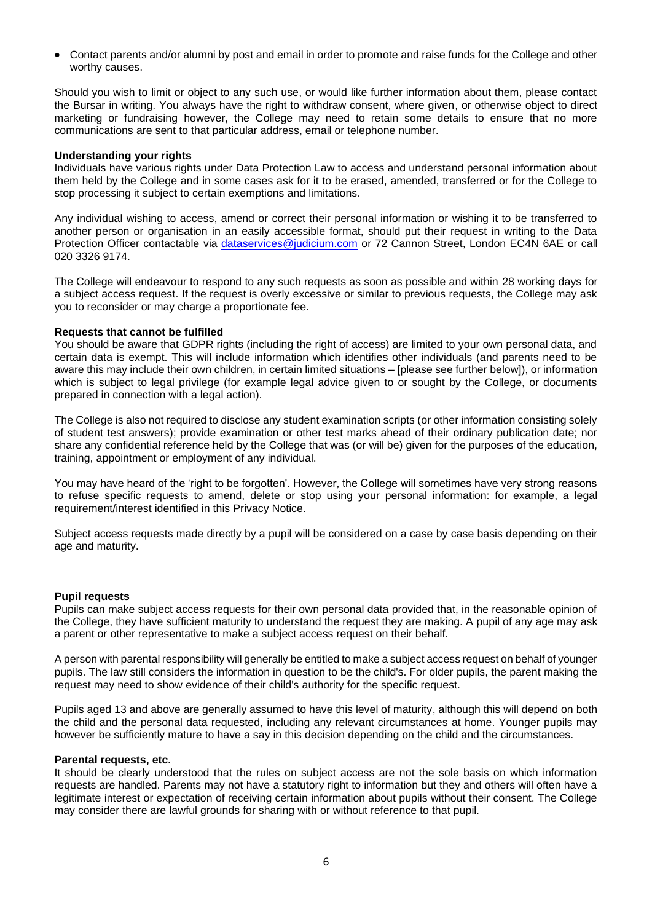• Contact parents and/or alumni by post and email in order to promote and raise funds for the College and other worthy causes.

Should you wish to limit or object to any such use, or would like further information about them, please contact the Bursar in writing. You always have the right to withdraw consent, where given, or otherwise object to direct marketing or fundraising however, the College may need to retain some details to ensure that no more communications are sent to that particular address, email or telephone number.

#### **Understanding your rights**

Individuals have various rights under Data Protection Law to access and understand personal information about them held by the College and in some cases ask for it to be erased, amended, transferred or for the College to stop processing it subject to certain exemptions and limitations.

Any individual wishing to access, amend or correct their personal information or wishing it to be transferred to another person or organisation in an easily accessible format, should put their request in writing to the Data Protection Officer contactable via dataservices@judicium.com or 72 Cannon Street, London EC4N 6AE or call 020 3326 9174.

The College will endeavour to respond to any such requests as soon as possible and within 28 working days for a subject access request. If the request is overly excessive or similar to previous requests, the College may ask you to reconsider or may charge a proportionate fee.

### **Requests that cannot be fulfilled**

You should be aware that GDPR rights (including the right of access) are limited to your own personal data, and certain data is exempt. This will include information which identifies other individuals (and parents need to be aware this may include their own children, in certain limited situations – [please see further below]), or information which is subject to legal privilege (for example legal advice given to or sought by the College, or documents prepared in connection with a legal action).

The College is also not required to disclose any student examination scripts (or other information consisting solely of student test answers); provide examination or other test marks ahead of their ordinary publication date; nor share any confidential reference held by the College that was (or will be) given for the purposes of the education, training, appointment or employment of any individual.

You may have heard of the 'right to be forgotten'. However, the College will sometimes have very strong reasons to refuse specific requests to amend, delete or stop using your personal information: for example, a legal requirement/interest identified in this Privacy Notice.

Subject access requests made directly by a pupil will be considered on a case by case basis depending on their age and maturity.

#### **Pupil requests**

Pupils can make subject access requests for their own personal data provided that, in the reasonable opinion of the College, they have sufficient maturity to understand the request they are making. A pupil of any age may ask a parent or other representative to make a subject access request on their behalf.

A person with parental responsibility will generally be entitled to make a subject access request on behalf of younger pupils. The law still considers the information in question to be the child's. For older pupils, the parent making the request may need to show evidence of their child's authority for the specific request.

Pupils aged 13 and above are generally assumed to have this level of maturity, although this will depend on both the child and the personal data requested, including any relevant circumstances at home. Younger pupils may however be sufficiently mature to have a say in this decision depending on the child and the circumstances.

#### **Parental requests, etc.**

It should be clearly understood that the rules on subject access are not the sole basis on which information requests are handled. Parents may not have a statutory right to information but they and others will often have a legitimate interest or expectation of receiving certain information about pupils without their consent. The College may consider there are lawful grounds for sharing with or without reference to that pupil.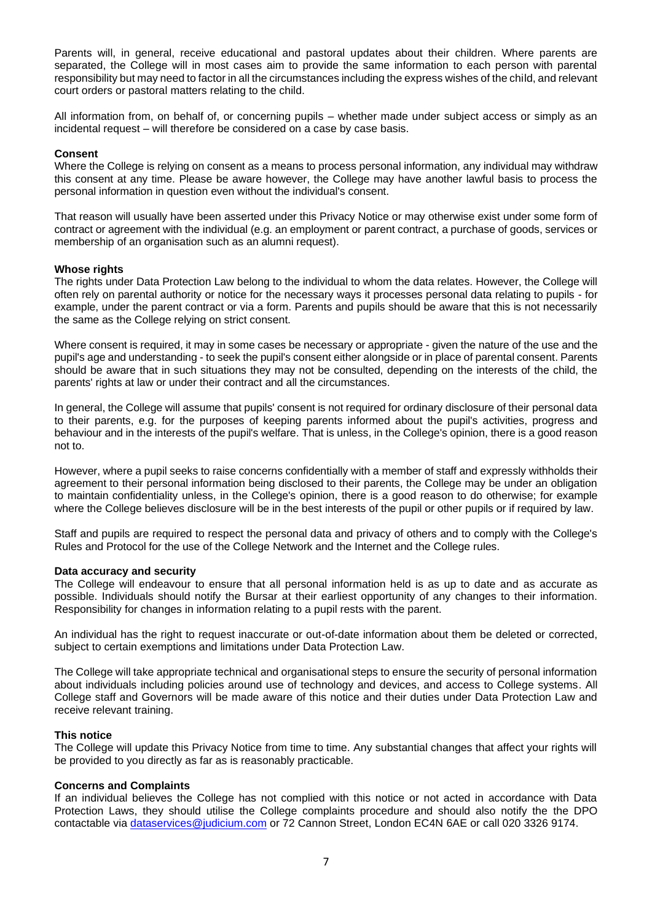Parents will, in general, receive educational and pastoral updates about their children. Where parents are separated, the College will in most cases aim to provide the same information to each person with parental responsibility but may need to factor in all the circumstances including the express wishes of the child, and relevant court orders or pastoral matters relating to the child.

All information from, on behalf of, or concerning pupils – whether made under subject access or simply as an incidental request – will therefore be considered on a case by case basis.

### **Consent**

Where the College is relying on consent as a means to process personal information, any individual may withdraw this consent at any time. Please be aware however, the College may have another lawful basis to process the personal information in question even without the individual's consent.

That reason will usually have been asserted under this Privacy Notice or may otherwise exist under some form of contract or agreement with the individual (e.g. an employment or parent contract, a purchase of goods, services or membership of an organisation such as an alumni request).

### **Whose rights**

The rights under Data Protection Law belong to the individual to whom the data relates. However, the College will often rely on parental authority or notice for the necessary ways it processes personal data relating to pupils - for example, under the parent contract or via a form. Parents and pupils should be aware that this is not necessarily the same as the College relying on strict consent.

Where consent is required, it may in some cases be necessary or appropriate - given the nature of the use and the pupil's age and understanding - to seek the pupil's consent either alongside or in place of parental consent. Parents should be aware that in such situations they may not be consulted, depending on the interests of the child, the parents' rights at law or under their contract and all the circumstances.

In general, the College will assume that pupils' consent is not required for ordinary disclosure of their personal data to their parents, e.g. for the purposes of keeping parents informed about the pupil's activities, progress and behaviour and in the interests of the pupil's welfare. That is unless, in the College's opinion, there is a good reason not to.

However, where a pupil seeks to raise concerns confidentially with a member of staff and expressly withholds their agreement to their personal information being disclosed to their parents, the College may be under an obligation to maintain confidentiality unless, in the College's opinion, there is a good reason to do otherwise; for example where the College believes disclosure will be in the best interests of the pupil or other pupils or if required by law.

Staff and pupils are required to respect the personal data and privacy of others and to comply with the College's Rules and Protocol for the use of the College Network and the Internet and the College rules.

### **Data accuracy and security**

The College will endeavour to ensure that all personal information held is as up to date and as accurate as possible. Individuals should notify the Bursar at their earliest opportunity of any changes to their information. Responsibility for changes in information relating to a pupil rests with the parent.

An individual has the right to request inaccurate or out-of-date information about them be deleted or corrected, subject to certain exemptions and limitations under Data Protection Law.

The College will take appropriate technical and organisational steps to ensure the security of personal information about individuals including policies around use of technology and devices, and access to College systems. All College staff and Governors will be made aware of this notice and their duties under Data Protection Law and receive relevant training.

### **This notice**

The College will update this Privacy Notice from time to time. Any substantial changes that affect your rights will be provided to you directly as far as is reasonably practicable.

### **Concerns and Complaints**

If an individual believes the College has not complied with this notice or not acted in accordance with Data Protection Laws, they should utilise the College complaints procedure and should also notify the the DPO contactable via dataservices@judicium.com or 72 Cannon Street, London EC4N 6AE or call 020 3326 9174.